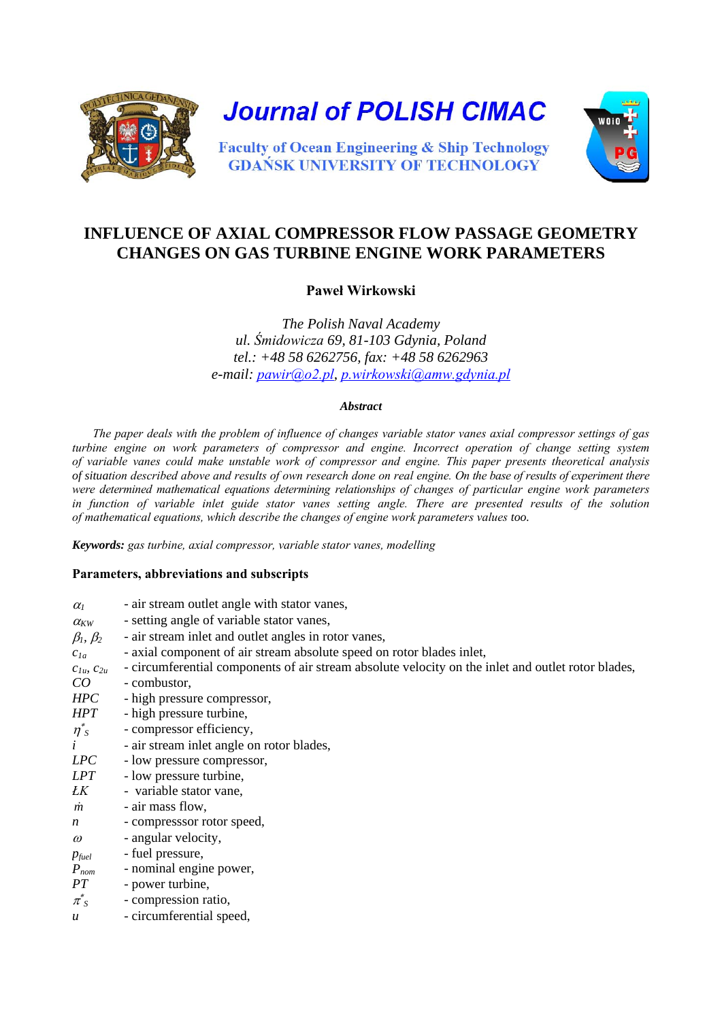

# **INFLUENCE OF AXIAL COMPRESSOR FLOW PASSAGE GEOMETRY CHANGES ON GAS TURBINE ENGINE WORK PARAMETERS**

# **Paweł Wirkowski**

*The Polish Naval Academy ul. Śmidowicza 69, 81-103 Gdynia, Poland tel.: +48 58 6262756, fax: +48 58 6262963 e-mail: [pawir@o2.pl](mailto:pawir@o2..pl), [p.wirkowski@amw.gdynia.pl](mailto:p.wirkowski@amw.gdynia.pl)* 

#### *Abstract*

*The paper deals with the problem of influence of changes variable stator vanes axial compressor settings of gas turbine engine on work parameters of compressor and engine. Incorrect operation of change setting system of variable vanes could make unstable work of compressor and engine. This paper presents theoretical analysis of situation described above and results of own research done on real engine. On the base of results of experiment there were determined mathematical equations determining relationships of changes of particular engine work parameters in function of variable inlet guide stator vanes setting angle. There are presented results of the solution of mathematical equations, which describe the changes of engine work parameters values too.*

*Keywords: gas turbine, axial compressor, variable stator vanes, modelling*

#### **Parameters, abbreviations and subscripts**

| $\alpha_I$          | - air stream outlet angle with stator vanes,                                                       |
|---------------------|----------------------------------------------------------------------------------------------------|
| $\alpha_{\rm KW}$   | - setting angle of variable stator vanes,                                                          |
| $\beta_1, \beta_2$  | - air stream inlet and outlet angles in rotor vanes,                                               |
| $c_{1a}$            | - axial component of air stream absolute speed on rotor blades inlet,                              |
| $C_{1u}$ , $C_{2u}$ | - circumferential components of air stream absolute velocity on the inlet and outlet rotor blades, |
| CO                  | - combustor,                                                                                       |
| HPC                 | - high pressure compressor,                                                                        |
| <b>HPT</b>          | - high pressure turbine,                                                                           |
| $\eta^*_{s}$        | - compressor efficiency,                                                                           |
| $\dot{i}$           | - air stream inlet angle on rotor blades,                                                          |
| LPC                 | - low pressure compressor,                                                                         |
| LPT                 | - low pressure turbine,                                                                            |
| ŁK                  | - variable stator vane,                                                                            |
| m                   | - air mass flow,                                                                                   |
| $\boldsymbol{n}$    | - compresssor rotor speed,                                                                         |
| $\omega$            | - angular velocity,                                                                                |
| $p_{\text{fuel}}$   | - fuel pressure,                                                                                   |
| $P_{nom}$           | - nominal engine power,                                                                            |
| PT                  | - power turbine,                                                                                   |
| $\pi^*_{S}$         | - compression ratio,                                                                               |
| $\boldsymbol{u}$    | - circumferential speed,                                                                           |
|                     |                                                                                                    |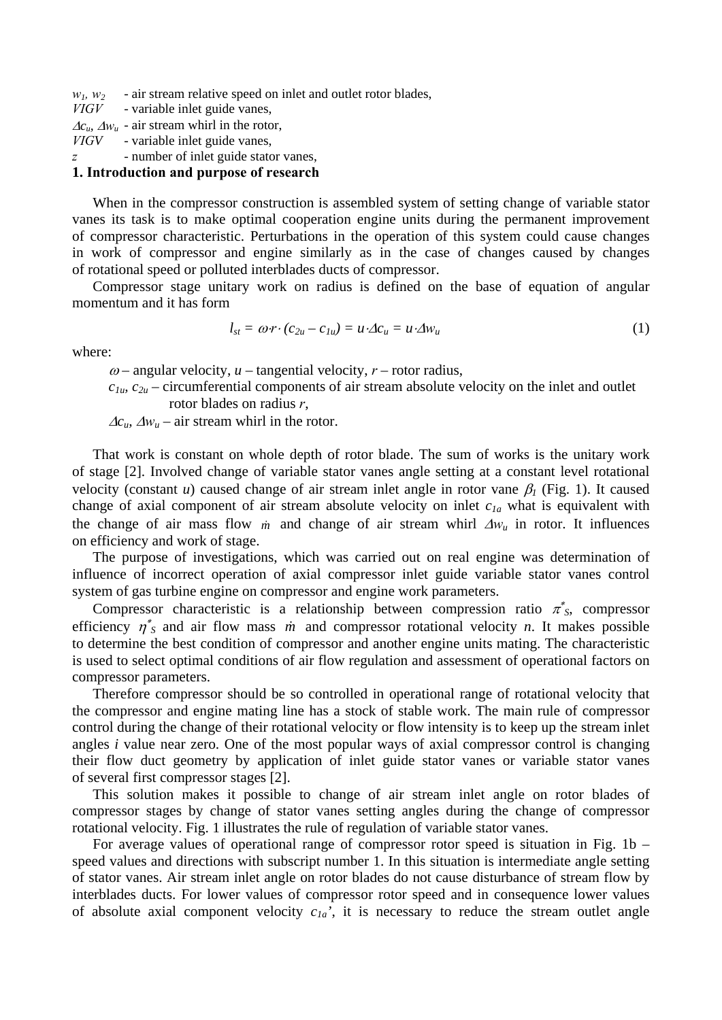$w_1$ ,  $w_2$  - air stream relative speed on inlet and outlet rotor blades,

*VIGV* - variable inlet guide vanes,

 $\Delta c_u$ ,  $\Delta w_u$  - air stream whirl in the rotor,<br>*VIGV* - variable inlet guide vanes.

- variable inlet guide vanes,

*z* - number of inlet guide stator vanes,

## **1. Introduction and purpose of research**

When in the compressor construction is assembled system of setting change of variable stator vanes its task is to make optimal cooperation engine units during the permanent improvement of compressor characteristic. Perturbations in the operation of this system could cause changes in work of compressor and engine similarly as in the case of changes caused by changes of rotational speed or polluted interblades ducts of compressor.

Compressor stage unitary work on radius is defined on the base of equation of angular momentum and it has form

$$
l_{st} = \omega r \cdot (c_{2u} - c_{1u}) = u \cdot \Delta c_u = u \cdot \Delta w_u \tag{1}
$$

where:

 $\omega$  – angular velocity,  $u$  – tangential velocity,  $r$  – rotor radius,

*c1u, c2u* – circumferential components of air stream absolute velocity on the inlet and outlet rotor blades on radius *r*,

 $\Delta c_u$ ,  $\Delta w_u$  – air stream whirl in the rotor.

That work is constant on whole depth of rotor blade. The sum of works is the unitary work of stage [2]. Involved change of variable stator vanes angle setting at a constant level rotational velocity (constant *u*) caused change of air stream inlet angle in rotor vane  $\beta_l$  (Fig. 1). It caused change of axial component of air stream absolute velocity on inlet *c1a* what is equivalent with the change of air mass flow *m* and change of air stream whirl ∆*w<sup>u</sup>* in rotor. It influences on efficiency and work of stage.

The purpose of investigations, which was carried out on real engine was determination of influence of incorrect operation of axial compressor inlet guide variable stator vanes control system of gas turbine engine on compressor and engine work parameters.

Compressor characteristic is a relationship between compression ratio  $\pi^*_{\mathcal{S}}$ , compressor efficiency  $\eta^*$ <sub>S</sub> and air flow mass *m* and compressor rotational velocity *n*. It makes possible to determine the best condition of compressor and another engine units mating. The characteristic is used to select optimal conditions of air flow regulation and assessment of operational factors on compressor parameters.

Therefore compressor should be so controlled in operational range of rotational velocity that the compressor and engine mating line has a stock of stable work. The main rule of compressor control during the change of their rotational velocity or flow intensity is to keep up the stream inlet angles *i* value near zero. One of the most popular ways of axial compressor control is changing their flow duct geometry by application of inlet guide stator vanes or variable stator vanes of several first compressor stages [2].

This solution makes it possible to change of air stream inlet angle on rotor blades of compressor stages by change of stator vanes setting angles during the change of compressor rotational velocity. Fig. 1 illustrates the rule of regulation of variable stator vanes.

For average values of operational range of compressor rotor speed is situation in Fig. 1b – speed values and directions with subscript number 1. In this situation is intermediate angle setting of stator vanes. Air stream inlet angle on rotor blades do not cause disturbance of stream flow by interblades ducts. For lower values of compressor rotor speed and in consequence lower values of absolute axial component velocity *c1a'*, it is necessary to reduce the stream outlet angle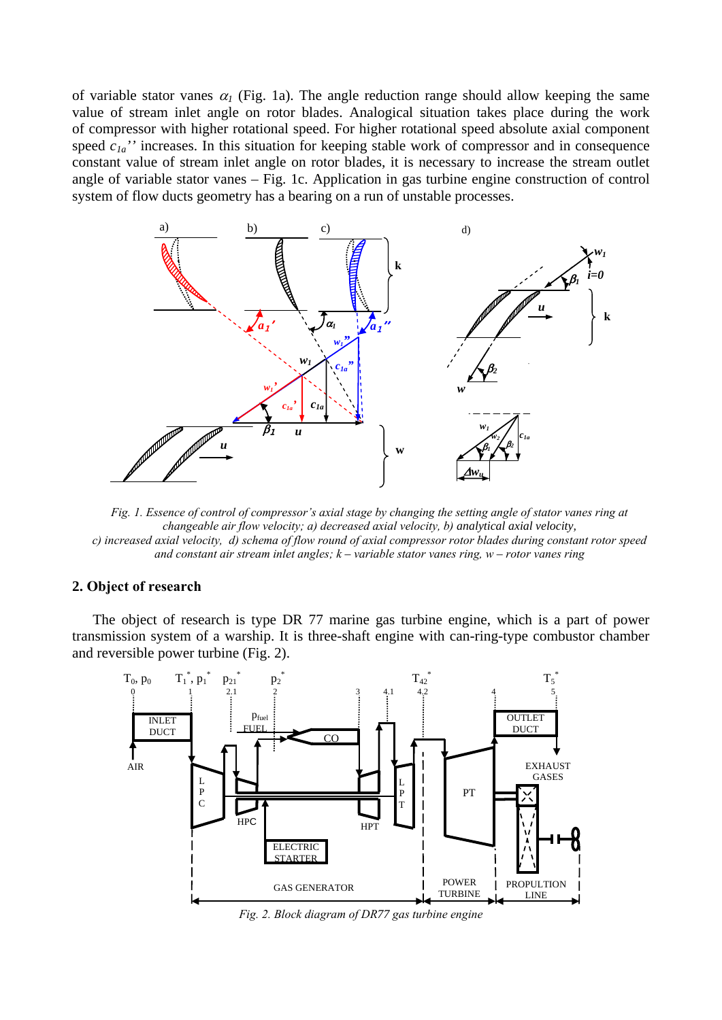of variable stator vanes  $\alpha_l$  (Fig. 1a). The angle reduction range should allow keeping the same value of stream inlet angle on rotor blades. Analogical situation takes place during the work of compressor with higher rotational speed. For higher rotational speed absolute axial component speed  $c_{1a}$ <sup>"</sup> increases. In this situation for keeping stable work of compressor and in consequence constant value of stream inlet angle on rotor blades, it is necessary to increase the stream outlet angle of variable stator vanes – Fig. 1c. Application in gas turbine engine construction of control system of flow ducts geometry has a bearing on a run of unstable processes.



*Fig. 1. Essence of control of compressor's axial stage by changing the setting angle of stator vanes ring at changeable air flow velocity; a) decreased axial velocity, b) analytical axial velocity, c) increased axial velocity, d) schema of flow round of axial compressor rotor blades during constant rotor speed and constant air stream inlet angles; k – variable stator vanes ring, w – rotor vanes ring*

## **2. Object of research**

The object of research is type DR 77 marine gas turbine engine, which is a part of power transmission system of a warship. It is three-shaft engine with can-ring-type combustor chamber and reversible power turbine (Fig. 2).



*Fig. 2. Block diagram of DR77 gas turbine engine*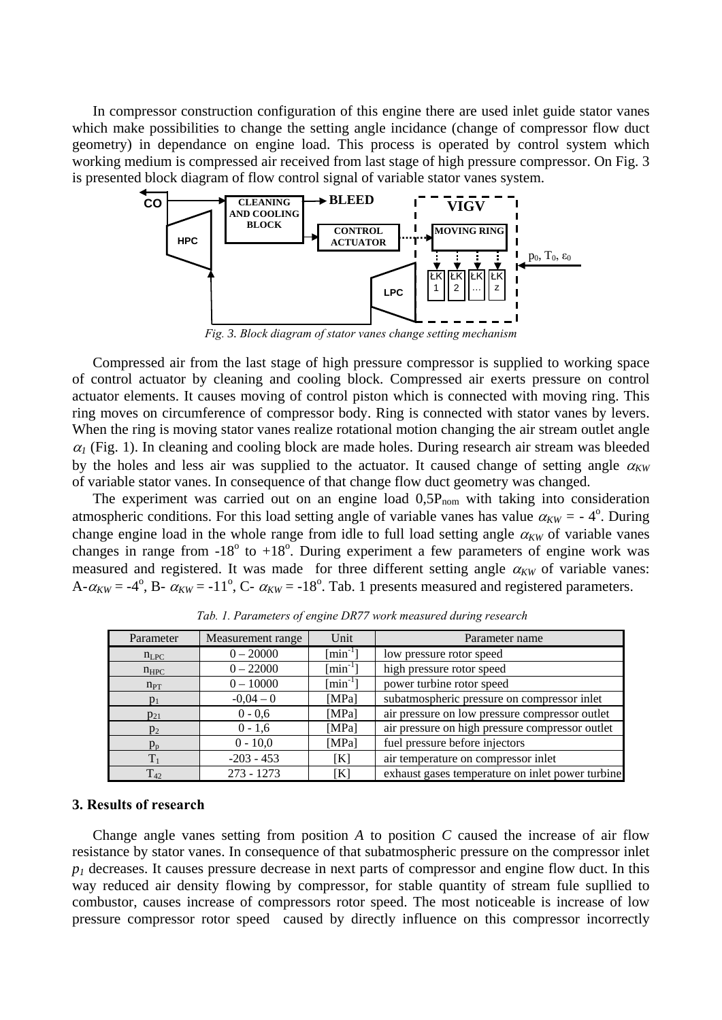In compressor construction configuration of this engine there are used inlet guide stator vanes which make possibilities to change the setting angle incidance (change of compressor flow duct geometry) in dependance on engine load. This process is operated by control system which working medium is compressed air received from last stage of high pressure compressor. On Fig. 3 is presented block diagram of flow control signal of variable stator vanes system.



*Fig. 3. Block diagram of stator vanes change setting mechanism*

Compressed air from the last stage of high pressure compressor is supplied to working space of control actuator by cleaning and cooling block. Compressed air exerts pressure on control actuator elements. It causes moving of control piston which is connected with moving ring. This ring moves on circumference of compressor body. Ring is connected with stator vanes by levers. When the ring is moving stator vanes realize rotational motion changing the air stream outlet angle  $\alpha_l$  (Fig. 1). In cleaning and cooling block are made holes. During research air stream was bleeded by the holes and less air was supplied to the actuator. It caused change of setting angle  $\alpha_{KW}$ of variable stator vanes. In consequence of that change flow duct geometry was changed.

The experiment was carried out on an engine load  $0.5P_{nom}$  with taking into consideration atmospheric conditions. For this load setting angle of variable vanes has value  $\alpha_{KW} = -4^{\circ}$ . During change engine load in the whole range from idle to full load setting angle  $\alpha_{KW}$  of variable vanes changes in range from  $-18^{\circ}$  to  $+18^{\circ}$ . During experiment a few parameters of engine work was measured and registered. It was made for three different setting angle  $\alpha_{KW}$  of variable vanes: A- $\alpha_{KW} = -4^{\circ}$ , B-  $\alpha_{KW} = -11^{\circ}$ , C-  $\alpha_{KW} = -18^{\circ}$ . Tab. 1 presents measured and registered parameters.

| Parameter | Measurement range | Unit                      | Parameter name                                   |
|-----------|-------------------|---------------------------|--------------------------------------------------|
| $n_{LPC}$ | $0 - 20000$       | $\lceil \min^{-1} \rceil$ | low pressure rotor speed                         |
| $n_{HPC}$ | $0 - 22000$       | $\lceil \min^{-1} \rceil$ | high pressure rotor speed                        |
| $n_{PT}$  | $0 - 10000$       | $\lceil \min^{-1} \rceil$ | power turbine rotor speed                        |
| $p_1$     | $-0.04 - 0$       | [MPa]                     | subatmospheric pressure on compressor inlet      |
| $p_{21}$  | $0 - 0.6$         | [MPa]                     | air pressure on low pressure compressor outlet   |
| $p_2$     | $0 - 1, 6$        | [MPa]                     | air pressure on high pressure compressor outlet  |
| $p_p$     | $0 - 10,0$        | [MPa]                     | fuel pressure before injectors                   |
| $T_{1}$   | $-203 - 453$      | [K]                       | air temperature on compressor inlet              |
| $T_{42}$  | $273 - 1273$      | [K]                       | exhaust gases temperature on inlet power turbine |

*Tab. 1. Parameters of engine DR77 work measured during research*

## **3. Results of research**

Change angle vanes setting from position *A* to position *C* caused the increase of air flow resistance by stator vanes. In consequence of that subatmospheric pressure on the compressor inlet  $p_1$  decreases. It causes pressure decrease in next parts of compressor and engine flow duct. In this way reduced air density flowing by compressor, for stable quantity of stream fule supllied to combustor, causes increase of compressors rotor speed. The most noticeable is increase of low pressure compressor rotor speed caused by directly influence on this compressor incorrectly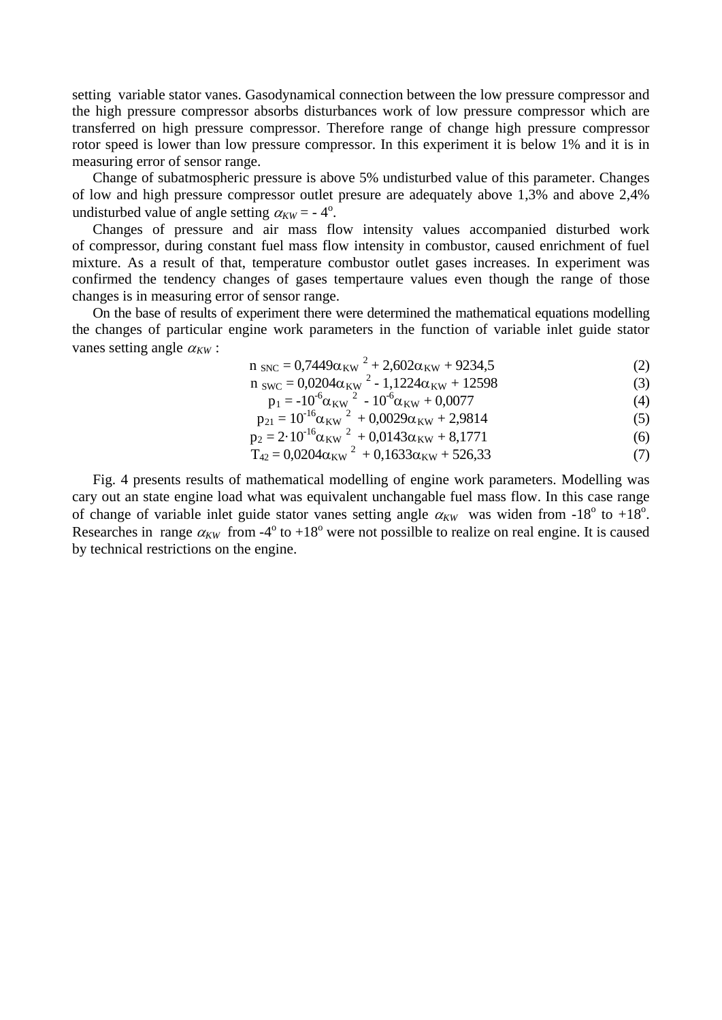setting variable stator vanes. Gasodynamical connection between the low pressure compressor and the high pressure compressor absorbs disturbances work of low pressure compressor which are transferred on high pressure compressor. Therefore range of change high pressure compressor rotor speed is lower than low pressure compressor. In this experiment it is below 1% and it is in measuring error of sensor range.

Change of subatmospheric pressure is above 5% undisturbed value of this parameter. Changes of low and high pressure compressor outlet presure are adequately above 1,3% and above 2,4% undisturbed value of angle setting  $\alpha_{KW} = -4^{\circ}$ .

Changes of pressure and air mass flow intensity values accompanied disturbed work of compressor, during constant fuel mass flow intensity in combustor, caused enrichment of fuel mixture. As a result of that, temperature combustor outlet gases increases. In experiment was confirmed the tendency changes of gases tempertaure values even though the range of those changes is in measuring error of sensor range.

On the base of results of experiment there were determined the mathematical equations modelling the changes of particular engine work parameters in the function of variable inlet guide stator vanes setting angle  $\alpha_{KW}$ :

$$
n_{\rm SNC} = 0.7449\alpha_{\rm KW}^2 + 2.602\alpha_{\rm KW} + 9234.5\tag{2}
$$

$$
n_{\text{SWC}} = 0.0204\alpha_{\text{KW}}^2 - 1.1224\alpha_{\text{KW}} + 12598\tag{3}
$$

$$
p_1 = -10^{-6} \alpha_{KW}^2 - 10^{-6} \alpha_{KW} + 0.0077 \tag{4}
$$

$$
p_{21} = 10^{-16} \alpha_{KW}^2 + 0.0029 \alpha_{KW} + 2.9814
$$
  
\n
$$
p_2 = 2 \cdot 10^{-16} \alpha_{KW}^2 + 0.0143 \alpha_{KW} + 8.1771
$$
\n(6)

$$
T_{42} = 0.0204\alpha_{\text{KW}}^{2} + 0.1633\alpha_{\text{KW}} + 526.33
$$
 (7)

Fig. 4 presents results of mathematical modelling of engine work parameters. Modelling was cary out an state engine load what was equivalent unchangable fuel mass flow. In this case range of change of variable inlet guide stator vanes setting angle  $\alpha_{KW}$  was widen from -18<sup>o</sup> to +18<sup>o</sup>. Researches in range  $\alpha_{KW}$  from -4<sup>o</sup> to +18<sup>o</sup> were not possilble to realize on real engine. It is caused by technical restrictions on the engine.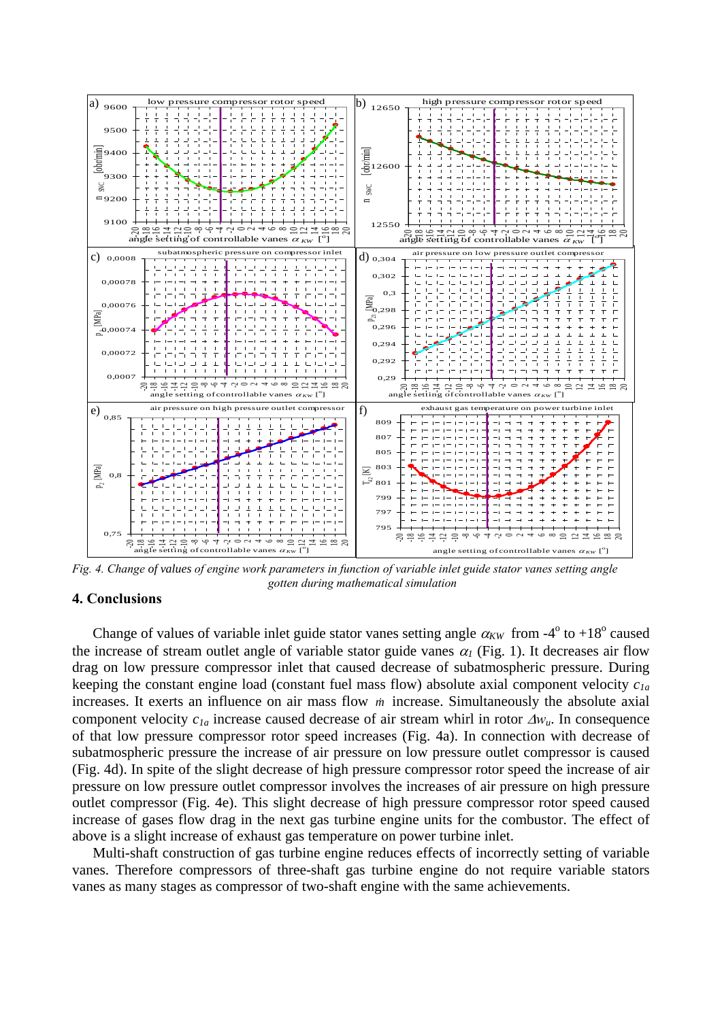

*Fig. 4. Change of values of engine work parameters in function of variable inlet guide stator vanes setting angle gotten during mathematical simulation*

#### **4. Conclusions**

Change of values of variable inlet guide stator vanes setting angle  $\alpha_{KW}$  from -4<sup>o</sup> to +18<sup>o</sup> caused the increase of stream outlet angle of variable stator guide vanes  $\alpha_l$  (Fig. 1). It decreases air flow drag on low pressure compressor inlet that caused decrease of subatmospheric pressure. During keeping the constant engine load (constant fuel mass flow) absolute axial component velocity *c1a* increases. It exerts an influence on air mass flow *m* increase. Simultaneously the absolute axial component velocity *c1a* increase caused decrease of air stream whirl in rotor ∆*wu*. In consequence of that low pressure compressor rotor speed increases (Fig. 4a). In connection with decrease of subatmospheric pressure the increase of air pressure on low pressure outlet compressor is caused (Fig. 4d). In spite of the slight decrease of high pressure compressor rotor speed the increase of air pressure on low pressure outlet compressor involves the increases of air pressure on high pressure outlet compressor (Fig. 4e). This slight decrease of high pressure compressor rotor speed caused increase of gases flow drag in the next gas turbine engine units for the combustor. The effect of above is a slight increase of exhaust gas temperature on power turbine inlet.

Multi-shaft construction of gas turbine engine reduces effects of incorrectly setting of variable vanes. Therefore compressors of three-shaft gas turbine engine do not require variable stators vanes as many stages as compressor of two-shaft engine with the same achievements.